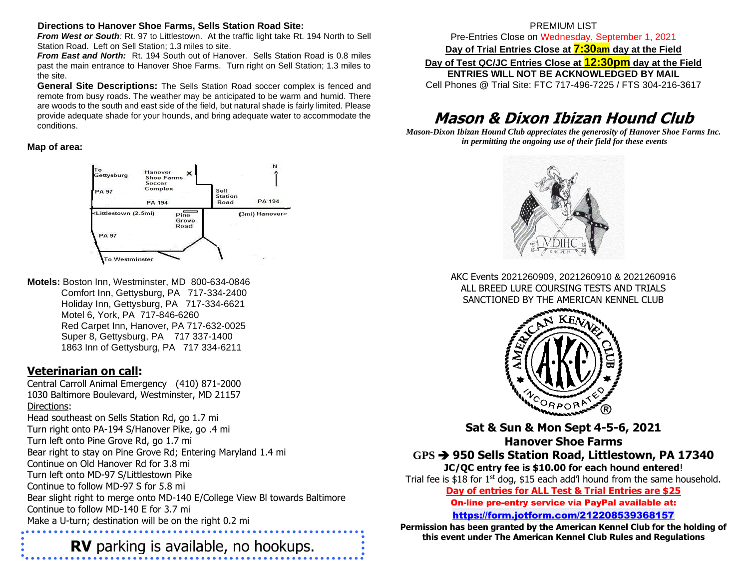#### **Directions to Hanover Shoe Farms, Sells Station Road Site:**

*From West or South:* Rt. 97 to Littlestown. At the traffic light take Rt. 194 North to Sell Station Road. Left on Sell Station; 1.3 miles to site.

*From East and North:* Rt. 194 South out of Hanover. Sells Station Road is 0.8 miles past the main entrance to Hanover Shoe Farms. Turn right on Sell Station; 1.3 miles to the site.

**General Site Descriptions:** The Sells Station Road soccer complex is fenced and remote from busy roads. The weather may be anticipated to be warm and humid. There are woods to the south and east side of the field, but natural shade is fairly limited. Please provide adequate shade for your hounds, and bring adequate water to accommodate the conditions.

#### **Map of area:**



**Motels:** Boston Inn, Westminster, MD 800-634-0846 Comfort Inn, Gettysburg, PA 717-334-2400 Holiday Inn, Gettysburg, PA 717-334-6621 Motel 6, York, PA 717-846-6260 Red Carpet Inn, Hanover, PA 717-632-0025 Super 8, Gettysburg, PA 717 337-1400 1863 Inn of Gettysburg, PA 717 334-6211

# **Veterinarian on call:**

Central Carroll Animal Emergency (410) 871-2000 1030 Baltimore Boulevard, Westminster, MD 21157 Directions: Head southeast on Sells Station Rd, go 1.7 mi Turn right onto PA-194 S/Hanover Pike, go .4 mi Turn left onto Pine Grove Rd, go 1.7 mi Bear right to stay on Pine Grove Rd; Entering Maryland 1.4 mi Continue on Old Hanover Rd for 3.8 mi Turn left onto MD-97 S/Littlestown Pike Continue to follow MD-97 S for 5.8 mi Bear slight right to merge onto MD-140 E/College View Bl towards Baltimore Continue to follow MD-140 E for 3.7 mi Make a U-turn; destination will be on the right 0.2 mi

**RV** parking is available, no hookups.

### PREMIUM LIST

Pre-Entries Close on Wednesday, September 1, 2021

**Day of Trial Entries Close at 7:30am day at the Field**

**Day of Test QC/JC Entries Close at 12:30pm day at the Field**

**ENTRIES WILL NOT BE ACKNOWLEDGED BY MAIL** Cell Phones @ Trial Site: FTC 717-496-7225 / FTS 304-216-3617

# **Mason & Dixon Ibizan Hound Club**

*Mason-Dixon Ibizan Hound Club appreciates the generosity of Hanover Shoe Farms Inc. in permitting the ongoing use of their field for these events*



AKC Events 2021260909, 2021260910 & 2021260916 ALL BREED LURE COURSING TESTS AND TRIALS SANCTIONED BY THE AMERICAN KENNEL CLUB



**Sat & Sun & Mon Sept 4-5-6, 2021 Hanover Shoe Farms**

# **GPS** ➔ **950 Sells Station Road, Littlestown, PA 17340**

**JC/QC entry fee is \$10.00 for each hound entered**! Trial fee is \$18 for  $1<sup>st</sup>$  dog, \$15 each add'l hound from the same household.

**Day of entries for ALL Test & Trial Entries are \$25**

On-line pre-entry service via PayPal available at: <https://form.jotform.com/212208539368157>

**Permission has been granted by the American Kennel Club for the holding of this event under The American Kennel Club Rules and Regulations**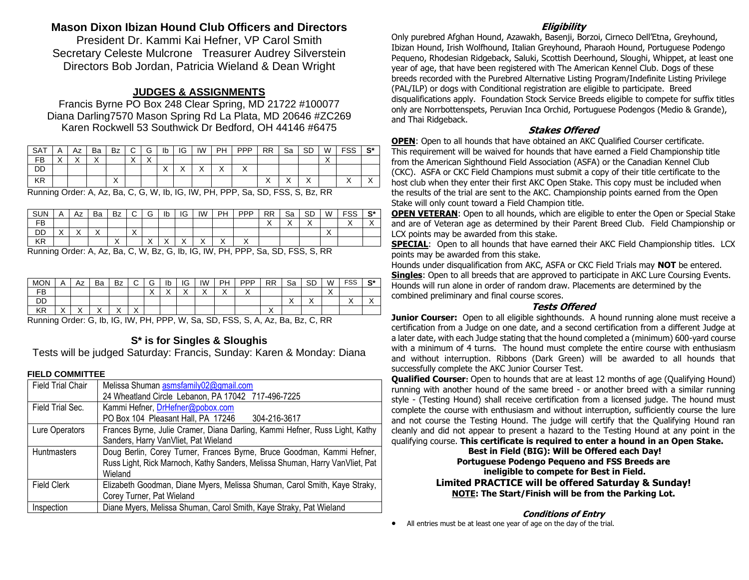# **Mason Dixon Ibizan Hound Club Officers and Directors**

President Dr. Kammi Kai Hefner, VP Carol Smith Secretary Celeste Mulcrone Treasurer Audrey Silverstein Directors Bob Jordan, Patricia Wieland & Dean Wright

# **JUDGES & ASSIGNMENTS**

Francis Byrne PO Box 248 Clear Spring, MD 21722 #100077 Diana Darling7570 Mason Spring Rd La Plata, MD 20646 #ZC269 Karen Rockwell 53 Southwick Dr Bedford, OH 44146 #6475

| SA.                                                                            | Az | Ba | Bz |   | G                         | lb | IG | IW | PН | PPP | RR | Sa | W | -00 | S* |
|--------------------------------------------------------------------------------|----|----|----|---|---------------------------|----|----|----|----|-----|----|----|---|-----|----|
| FB                                                                             |    |    |    | ⌒ | $\checkmark$<br>$\lambda$ |    |    |    |    |     |    |    |   |     |    |
| DD                                                                             |    |    |    |   |                           |    |    |    |    |     |    |    |   |     |    |
| <b>KR</b>                                                                      |    |    |    |   |                           |    |    |    |    |     |    |    |   |     |    |
| Running Order: A, Az, Ba, C, G, W, Ib, IG, IW, PH, PPP, Sa, SD, FSS, S, Bz, RR |    |    |    |   |                           |    |    |    |    |     |    |    |   |     |    |

| <b>SUN</b> | $\cdots$ | Δ →<br>∼      | Ba      | <b>Bz</b> | ⌒ | $\sim$<br>G               | Ib                   | IG                   | IW                   | PH           | <b>PPP</b> | <b>RR</b> | Sa      | SD                   | W         | <b>FOO</b> | S*        |
|------------|----------|---------------|---------|-----------|---|---------------------------|----------------------|----------------------|----------------------|--------------|------------|-----------|---------|----------------------|-----------|------------|-----------|
|            |          |               |         |           |   |                           |                      |                      |                      |              |            |           | $\cdot$ | $\ddot{\phantom{1}}$ |           |            | $\lambda$ |
|            |          | $\cdot$<br>,, | $\cdot$ |           |   |                           |                      |                      |                      |              |            |           |         |                      | $\lambda$ |            |           |
| KR<br>.    |          |               |         |           |   | $\checkmark$<br>$\lambda$ | $\cdot$<br>$\lambda$ | $\cdot$<br>$\lambda$ | $\cdot$<br>$\lambda$ | $\cdot$<br>↗ |            |           |         |                      |           |            |           |

Running Order: A, Az, Ba, C, W, Bz, G, Ib, IG, IW, PH, PPP, Sa, SD, FSS, S, RR

| <b>MON</b> | $\cdots$ | 74.                               | Ba           | <b>Bz</b> | ⌒<br>◡               | ⌒<br>G       | lb               | $\sim$<br>ΙG | IW                   | PН                   | <b>PPP</b>           | <b>RR</b> | Sa        | <b>SD</b> | W                 | <b>FSS</b> | $\mathbf{c}^*$<br>১  |
|------------|----------|-----------------------------------|--------------|-----------|----------------------|--------------|------------------|--------------|----------------------|----------------------|----------------------|-----------|-----------|-----------|-------------------|------------|----------------------|
| FB         |          |                                   |              |           |                      | $\cdot$<br>⌒ | $\lambda$<br>. . | $\cdot$      | $\cdot$<br>$\lambda$ | $\ddot{\phantom{1}}$ | $\cdot$<br>$\lambda$ |           |           |           | $\checkmark$<br>⌒ |            |                      |
| DD         |          |                                   |              |           |                      |              |                  |              |                      |                      |                      |           | $\lambda$ | $\lambda$ |                   | $\lambda$  | $\cdot$<br>$\lambda$ |
| m          | $\cdot$  | $\ddot{\phantom{1}}$<br>$\lambda$ | $\cdot$<br>↗ |           | $\cdot$<br>$\lambda$ |              |                  |              |                      |                      |                      | $\lambda$ |           |           |                   |            |                      |

Running Order: G, Ib, IG, IW, PH, PPP, W, Sa, SD, FSS, S, A, Az, Ba, Bz, C, RR

# **S\* is for Singles & Sloughis**

Tests will be judged Saturday: Francis, Sunday: Karen & Monday: Diana

## **FIELD COMMITTEE**

| <b>Field Trial Chair</b> | Melissa Shuman asmsfamily02@gmail.com<br>24 Wheatland Circle Lebanon, PA 17042 717-496-7225                                                                       |
|--------------------------|-------------------------------------------------------------------------------------------------------------------------------------------------------------------|
| Field Trial Sec.         | Kammi Hefner, DrHefner@pobox.com<br>PO Box 104 Pleasant Hall, PA 17246<br>304-216-3617                                                                            |
| Lure Operators           | Frances Byrne, Julie Cramer, Diana Darling, Kammi Hefner, Russ Light, Kathy<br>Sanders, Harry VanVliet, Pat Wieland                                               |
| <b>Huntmasters</b>       | Doug Berlin, Corey Turner, Frances Byrne, Bruce Goodman, Kammi Hefner,<br>Russ Light, Rick Marnoch, Kathy Sanders, Melissa Shuman, Harry VanVliet, Pat<br>Wieland |
| <b>Field Clerk</b>       | Elizabeth Goodman, Diane Myers, Melissa Shuman, Carol Smith, Kaye Straky,<br>Corey Turner, Pat Wieland                                                            |
| Inspection               | Diane Myers, Melissa Shuman, Carol Smith, Kaye Straky, Pat Wieland                                                                                                |

### **Eligibility**

Only purebred Afghan Hound, Azawakh, Basenji, Borzoi, Cirneco Dell'Etna, Greyhound, Ibizan Hound, Irish Wolfhound, Italian Greyhound, Pharaoh Hound, Portuguese Podengo Pequeno, Rhodesian Ridgeback, Saluki, Scottish Deerhound, Sloughi, Whippet, at least one year of age, that have been registered with The American Kennel Club. Dogs of these breeds recorded with the Purebred Alternative Listing Program/Indefinite Listing Privilege (PAL/ILP) or dogs with Conditional registration are eligible to participate. Breed disqualifications apply. Foundation Stock Service Breeds eligible to compete for suffix titles only are Norrbottenspets, Peruvian Inca Orchid, Portuguese Podengos (Medio & Grande), and Thai Ridgeback.

## **Stakes Offered**

**OPEN**: Open to all hounds that have obtained an AKC Qualified Courser certificate. This requirement will be waived for hounds that have earned a Field Championship title from the American Sighthound Field Association (ASFA) or the Canadian Kennel Club (CKC). ASFA or CKC Field Champions must submit a copy of their title certificate to the host club when they enter their first AKC Open Stake. This copy must be included when the results of the trial are sent to the AKC. Championship points earned from the Open Stake will only count toward a Field Champion title.

**OPEN VETERAN:** Open to all hounds, which are eligible to enter the Open or Special Stake and are of Veteran age as determined by their Parent Breed Club. Field Championship or LCX points may be awarded from this stake.

**SPECIAL:** Open to all hounds that have earned their AKC Field Championship titles. LCX points may be awarded from this stake.

Hounds under disqualification from AKC, ASFA or CKC Field Trials may **NOT** be entered. **Singles**: Open to all breeds that are approved to participate in AKC Lure Coursing Events. Hounds will run alone in order of random draw. Placements are determined by the combined preliminary and final course scores.

## **Tests Offered**

**Junior Courser:** Open to all eligible sighthounds. A hound running alone must receive a certification from a Judge on one date, and a second certification from a different Judge at a later date, with each Judge stating that the hound completed a (minimum) 600-yard course with a minimum of 4 turns. The hound must complete the entire course with enthusiasm and without interruption. Ribbons (Dark Green) will be awarded to all hounds that successfully complete the AKC Junior Courser Test.

**Qualified Courser:** Open to hounds that are at least 12 months of age (Qualifying Hound) running with another hound of the same breed - or another breed with a similar running style - (Testing Hound) shall receive certification from a licensed judge. The hound must complete the course with enthusiasm and without interruption, sufficiently course the lure and not course the Testing Hound. The judge will certify that the Qualifying Hound ran cleanly and did not appear to present a hazard to the Testing Hound at any point in the qualifying course. **This certificate is required to enter a hound in an Open Stake.** 

#### **Best in Field (BIG): Will be Offered each Day! Portuguese Podengo Pequeno and FSS Breeds are ineligible to compete for Best in Field. Limited PRACTICE will be offered Saturday & Sunday! NOTE: The Start/Finish will be from the Parking Lot.**

# **Conditions of Entry**

All entries must be at least one year of age on the day of the trial.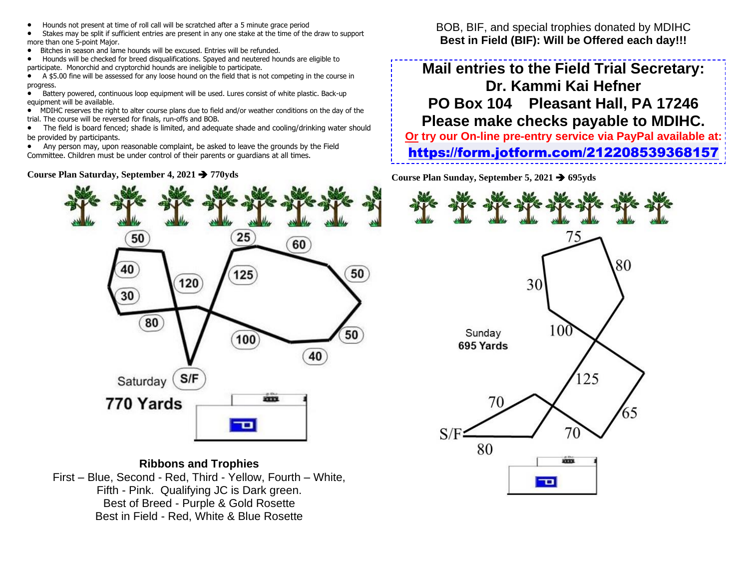• Hounds not present at time of roll call will be scratched after a 5 minute grace period

• Stakes may be split if sufficient entries are present in any one stake at the time of the draw to support more than one 5-point Major.

• Bitches in season and lame hounds will be excused. Entries will be refunded.

• Hounds will be checked for breed disqualifications. Spayed and neutered hounds are eligible to participate. Monorchid and cryptorchid hounds are ineligible to participate.

• A \$5.00 fine will be assessed for any loose hound on the field that is not competing in the course in progress.

• Battery powered, continuous loop equipment will be used. Lures consist of white plastic. Back-up equipment will be available.

• MDIHC reserves the right to alter course plans due to field and/or weather conditions on the day of the trial. The course will be reversed for finals, run-offs and BOB.

• The field is board fenced; shade is limited, and adequate shade and cooling/drinking water should be provided by participants.

• Any person may, upon reasonable complaint, be asked to leave the grounds by the Field Committee. Children must be under control of their parents or guardians at all times.

**Course Plan Saturday, September 4, 2021** ➔ **770yds**



## **Ribbons and Trophies** First – Blue, Second - Red, Third - Yellow, Fourth – White, Fifth - Pink. Qualifying JC is Dark green. Best of Breed - Purple & Gold Rosette Best in Field - Red, White & Blue Rosette

BOB, BIF, and special trophies donated by MDIHC **Best in Field (BIF): Will be Offered each day!!!**

# **Mail entries to the Field Trial Secretary: Dr. Kammi Kai Hefner PO Box 104 Pleasant Hall, PA 17246 Please make checks payable to MDIHC. Or try our On-line pre-entry service via PayPal available at:** <https://form.jotform.com/212208539368157>

**Course Plan Sunday, September 5, 2021** ➔ **695yds**

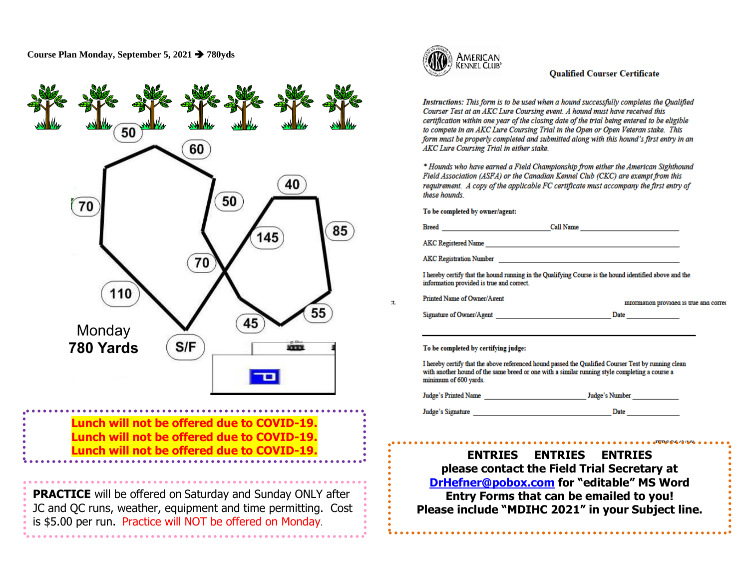**Course Plan Monday, September 5, 2021** ➔ **780yds**



**Lunch will not be offered due to COVID-19. Lunch will not be offered due to COVID-19.**

**PRACTICE** will be offered on Saturday and Sunday ONLY after JC and QC runs, weather, equipment and time permitting. Cost is \$5.00 per run. Practice will NOT be offered on Monday.



#### **Qualified Courser Certificate**

Instructions: This form is to be used when a hound successfully completes the Qualified Courser Test at an AKC Lure Coursing event. A hound must have received this certification within one year of the closing date of the trial being entered to be eligible to compete in an AKC Lure Coursing Trial in the Open or Open Veteran stake. This form must be properly completed and submitted along with this hound's first entry in an AKC Lure Coursing Trial in either stake.

\* Hounds who have earned a Field Championship from either the American Sighthound Field Association (ASFA) or the Canadian Kennel Club (CKC) are exempt from this requirement. A copy of the applicable FC certificate must accompany the first entry of these hounds.

#### To be completed by owner/agent:

| <b>Breed</b>                              | Call Name                                                                                                                                                                                                                                                  |
|-------------------------------------------|------------------------------------------------------------------------------------------------------------------------------------------------------------------------------------------------------------------------------------------------------------|
|                                           |                                                                                                                                                                                                                                                            |
| <b>AKC Registration Number</b>            | <u> 1989 - Jan Stein, amerikansk politiker (d. 1989)</u>                                                                                                                                                                                                   |
| information provided is true and correct. | I hereby certify that the hound running in the Qualifying Course is the hound identified above and the                                                                                                                                                     |
| Printed Name of Owner/Agent               | information provided is true and corre-                                                                                                                                                                                                                    |
|                                           | Signature of Owner/Agent<br>Date and the state of the state of the state of the state of the state of the state of the state of the state of the state of the state of the state of the state of the state of the state of the state of the state of the s |

#### To be completed by certifying judge:

I hereby certify that the above referenced hound passed the Qualified Courser Test by running clean with another hound of the same breed or one with a similar running style completing a course a minimum of 600 yards.

Judge's Printed Name Name and Sudgets Number

Judge's Signature

X.

Lunch will not be offered due to COVID-19. **Internal Contract Contract ENTRIES** ENTRIES **please contact the Field Trial Secretary at [DrHefner@pobox.com](mailto:DrHefner@pobox.com) for "editable" MS Word Entry Forms that can be emailed to you! Please include "MDIHC 2021" in your Subject line.**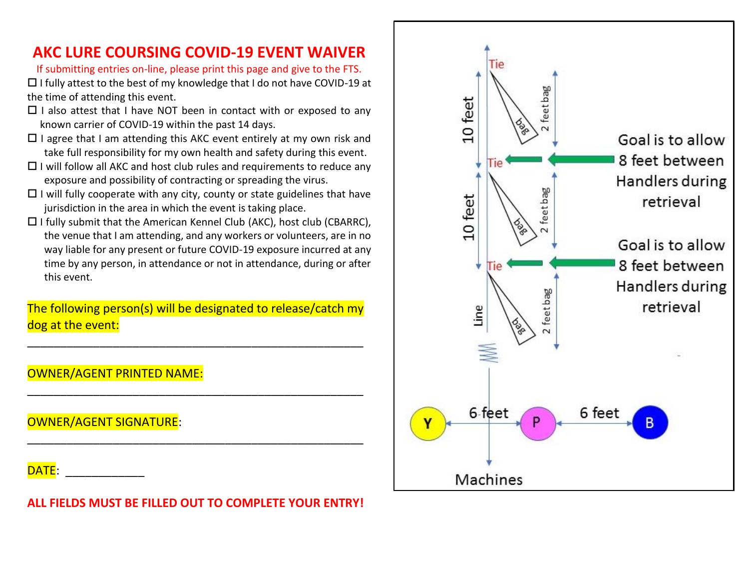# **AKC LURE COURSING COVID-19 EVENT WAIVER**

If submitting entries on-line, please print this page and give to the FTS.

 $\Box$  I fully attest to the best of my knowledge that I do not have COVID-19 at the time of attending this event.

- $\Box$  I also attest that I have NOT been in contact with or exposed to any known carrier of COVID-19 within the past 14 days.
- $\Box$  I agree that I am attending this AKC event entirely at my own risk and take full responsibility for my own health and safety during this event.
- $\Box$  I will follow all AKC and host club rules and requirements to reduce any exposure and possibility of contracting or spreading the virus.
- $\Box$  I will fully cooperate with any city, county or state guidelines that have jurisdiction in the area in which the event is taking place.
- $\Box$  I fully submit that the American Kennel Club (AKC), host club (CBARRC), the venue that I am attending, and any workers or volunteers, are in no way liable for any present or future COVID-19 exposure incurred at any time by any person, in attendance or not in attendance, during or after this event.

The following person(s) will be designated to release/catch my dog at the event:

\_\_\_\_\_\_\_\_\_\_\_\_\_\_\_\_\_\_\_\_\_\_\_\_\_\_\_\_\_\_\_\_\_\_\_\_\_\_\_\_\_\_\_\_\_\_\_\_\_\_\_

\_\_\_\_\_\_\_\_\_\_\_\_\_\_\_\_\_\_\_\_\_\_\_\_\_\_\_\_\_\_\_\_\_\_\_\_\_\_\_\_\_\_\_\_\_\_\_\_\_\_\_

\_\_\_\_\_\_\_\_\_\_\_\_\_\_\_\_\_\_\_\_\_\_\_\_\_\_\_\_\_\_\_\_\_\_\_\_\_\_\_\_\_\_\_\_\_\_\_\_\_\_\_

# OWNER/AGENT PRINTED NAME:

OWNER/AGENT SIGNATURE:

DATE:

**ALL FIELDS MUST BE FILLED OUT TO COMPLETE YOUR ENTRY!**

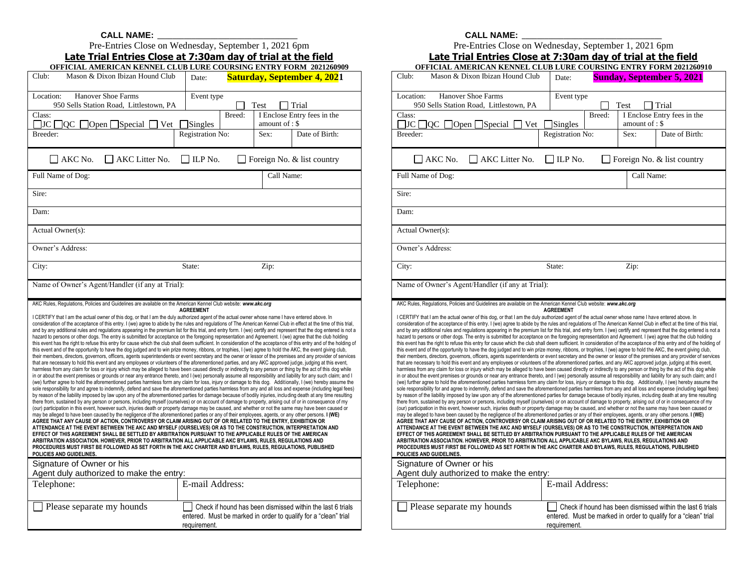| <b>CALL NAME:</b>                                                                                                                                                                                                                                                                                                                                                                                                                                                                                                                                                                                                                                                                                                                                                                                                                                                                                                                                                                                                                                                                                                                                                                                                                                                                                                                                                                                                                                                                                                                                                                                                                                                                                                                                                                                                                                                                                                                                                                                                                                                                                                                                                                                                                                                                                                                                                                                                                                                                                                                                                                                                                                                                                                                                                                                                                                                                                                                                                                                                                                                                                                                                                                                                                                                                                                                      |                  |                  |        |                                                 |            |                            |                                    |  |
|----------------------------------------------------------------------------------------------------------------------------------------------------------------------------------------------------------------------------------------------------------------------------------------------------------------------------------------------------------------------------------------------------------------------------------------------------------------------------------------------------------------------------------------------------------------------------------------------------------------------------------------------------------------------------------------------------------------------------------------------------------------------------------------------------------------------------------------------------------------------------------------------------------------------------------------------------------------------------------------------------------------------------------------------------------------------------------------------------------------------------------------------------------------------------------------------------------------------------------------------------------------------------------------------------------------------------------------------------------------------------------------------------------------------------------------------------------------------------------------------------------------------------------------------------------------------------------------------------------------------------------------------------------------------------------------------------------------------------------------------------------------------------------------------------------------------------------------------------------------------------------------------------------------------------------------------------------------------------------------------------------------------------------------------------------------------------------------------------------------------------------------------------------------------------------------------------------------------------------------------------------------------------------------------------------------------------------------------------------------------------------------------------------------------------------------------------------------------------------------------------------------------------------------------------------------------------------------------------------------------------------------------------------------------------------------------------------------------------------------------------------------------------------------------------------------------------------------------------------------------------------------------------------------------------------------------------------------------------------------------------------------------------------------------------------------------------------------------------------------------------------------------------------------------------------------------------------------------------------------------------------------------------------------------------------------------------------------|------------------|------------------|--------|-------------------------------------------------|------------|----------------------------|------------------------------------|--|
| Pre-Entries Close on Wednesday, September 1, 2021 6pm                                                                                                                                                                                                                                                                                                                                                                                                                                                                                                                                                                                                                                                                                                                                                                                                                                                                                                                                                                                                                                                                                                                                                                                                                                                                                                                                                                                                                                                                                                                                                                                                                                                                                                                                                                                                                                                                                                                                                                                                                                                                                                                                                                                                                                                                                                                                                                                                                                                                                                                                                                                                                                                                                                                                                                                                                                                                                                                                                                                                                                                                                                                                                                                                                                                                                  |                  |                  |        |                                                 |            |                            |                                    |  |
| Late Trial Entries Close at 7:30am day of trial at the field                                                                                                                                                                                                                                                                                                                                                                                                                                                                                                                                                                                                                                                                                                                                                                                                                                                                                                                                                                                                                                                                                                                                                                                                                                                                                                                                                                                                                                                                                                                                                                                                                                                                                                                                                                                                                                                                                                                                                                                                                                                                                                                                                                                                                                                                                                                                                                                                                                                                                                                                                                                                                                                                                                                                                                                                                                                                                                                                                                                                                                                                                                                                                                                                                                                                           |                  |                  |        |                                                 |            |                            |                                    |  |
| OFFICIAL AMERICAN KENNEL CLUB LURE COURSING ENTRY FORM 2021260909<br>Club:<br>Mason & Dixon Ibizan Hound Club                                                                                                                                                                                                                                                                                                                                                                                                                                                                                                                                                                                                                                                                                                                                                                                                                                                                                                                                                                                                                                                                                                                                                                                                                                                                                                                                                                                                                                                                                                                                                                                                                                                                                                                                                                                                                                                                                                                                                                                                                                                                                                                                                                                                                                                                                                                                                                                                                                                                                                                                                                                                                                                                                                                                                                                                                                                                                                                                                                                                                                                                                                                                                                                                                          |                  | Date:            |        |                                                 |            |                            | <b>Saturday, September 4, 2021</b> |  |
| <b>Hanover Shoe Farms</b><br>Location:<br>950 Sells Station Road, Littlestown, PA                                                                                                                                                                                                                                                                                                                                                                                                                                                                                                                                                                                                                                                                                                                                                                                                                                                                                                                                                                                                                                                                                                                                                                                                                                                                                                                                                                                                                                                                                                                                                                                                                                                                                                                                                                                                                                                                                                                                                                                                                                                                                                                                                                                                                                                                                                                                                                                                                                                                                                                                                                                                                                                                                                                                                                                                                                                                                                                                                                                                                                                                                                                                                                                                                                                      |                  | Event type       |        | Test                                            |            | Trial                      |                                    |  |
| Class:<br>JC<br>Special<br>OС<br>Open<br>Vet                                                                                                                                                                                                                                                                                                                                                                                                                                                                                                                                                                                                                                                                                                                                                                                                                                                                                                                                                                                                                                                                                                                                                                                                                                                                                                                                                                                                                                                                                                                                                                                                                                                                                                                                                                                                                                                                                                                                                                                                                                                                                                                                                                                                                                                                                                                                                                                                                                                                                                                                                                                                                                                                                                                                                                                                                                                                                                                                                                                                                                                                                                                                                                                                                                                                                           |                  | Singles          | Breed: | I Enclose Entry fees in the<br>amount of $:$ \$ |            |                            |                                    |  |
| Breeder:                                                                                                                                                                                                                                                                                                                                                                                                                                                                                                                                                                                                                                                                                                                                                                                                                                                                                                                                                                                                                                                                                                                                                                                                                                                                                                                                                                                                                                                                                                                                                                                                                                                                                                                                                                                                                                                                                                                                                                                                                                                                                                                                                                                                                                                                                                                                                                                                                                                                                                                                                                                                                                                                                                                                                                                                                                                                                                                                                                                                                                                                                                                                                                                                                                                                                                                               | Registration No: |                  | Sex:   |                                                 |            | Date of Birth:             |                                    |  |
| AKC Litter No.<br>AKC No.                                                                                                                                                                                                                                                                                                                                                                                                                                                                                                                                                                                                                                                                                                                                                                                                                                                                                                                                                                                                                                                                                                                                                                                                                                                                                                                                                                                                                                                                                                                                                                                                                                                                                                                                                                                                                                                                                                                                                                                                                                                                                                                                                                                                                                                                                                                                                                                                                                                                                                                                                                                                                                                                                                                                                                                                                                                                                                                                                                                                                                                                                                                                                                                                                                                                                                              |                  | ILP No.          |        |                                                 |            | Foreign No. & list country |                                    |  |
| Full Name of Dog:                                                                                                                                                                                                                                                                                                                                                                                                                                                                                                                                                                                                                                                                                                                                                                                                                                                                                                                                                                                                                                                                                                                                                                                                                                                                                                                                                                                                                                                                                                                                                                                                                                                                                                                                                                                                                                                                                                                                                                                                                                                                                                                                                                                                                                                                                                                                                                                                                                                                                                                                                                                                                                                                                                                                                                                                                                                                                                                                                                                                                                                                                                                                                                                                                                                                                                                      |                  |                  |        |                                                 | Call Name: |                            |                                    |  |
| Sire:                                                                                                                                                                                                                                                                                                                                                                                                                                                                                                                                                                                                                                                                                                                                                                                                                                                                                                                                                                                                                                                                                                                                                                                                                                                                                                                                                                                                                                                                                                                                                                                                                                                                                                                                                                                                                                                                                                                                                                                                                                                                                                                                                                                                                                                                                                                                                                                                                                                                                                                                                                                                                                                                                                                                                                                                                                                                                                                                                                                                                                                                                                                                                                                                                                                                                                                                  |                  |                  |        |                                                 |            |                            |                                    |  |
| Dam:                                                                                                                                                                                                                                                                                                                                                                                                                                                                                                                                                                                                                                                                                                                                                                                                                                                                                                                                                                                                                                                                                                                                                                                                                                                                                                                                                                                                                                                                                                                                                                                                                                                                                                                                                                                                                                                                                                                                                                                                                                                                                                                                                                                                                                                                                                                                                                                                                                                                                                                                                                                                                                                                                                                                                                                                                                                                                                                                                                                                                                                                                                                                                                                                                                                                                                                                   |                  |                  |        |                                                 |            |                            |                                    |  |
| Actual Owner(s):                                                                                                                                                                                                                                                                                                                                                                                                                                                                                                                                                                                                                                                                                                                                                                                                                                                                                                                                                                                                                                                                                                                                                                                                                                                                                                                                                                                                                                                                                                                                                                                                                                                                                                                                                                                                                                                                                                                                                                                                                                                                                                                                                                                                                                                                                                                                                                                                                                                                                                                                                                                                                                                                                                                                                                                                                                                                                                                                                                                                                                                                                                                                                                                                                                                                                                                       |                  |                  |        |                                                 |            |                            |                                    |  |
| Owner's Address:                                                                                                                                                                                                                                                                                                                                                                                                                                                                                                                                                                                                                                                                                                                                                                                                                                                                                                                                                                                                                                                                                                                                                                                                                                                                                                                                                                                                                                                                                                                                                                                                                                                                                                                                                                                                                                                                                                                                                                                                                                                                                                                                                                                                                                                                                                                                                                                                                                                                                                                                                                                                                                                                                                                                                                                                                                                                                                                                                                                                                                                                                                                                                                                                                                                                                                                       |                  |                  |        |                                                 |            |                            |                                    |  |
| City:                                                                                                                                                                                                                                                                                                                                                                                                                                                                                                                                                                                                                                                                                                                                                                                                                                                                                                                                                                                                                                                                                                                                                                                                                                                                                                                                                                                                                                                                                                                                                                                                                                                                                                                                                                                                                                                                                                                                                                                                                                                                                                                                                                                                                                                                                                                                                                                                                                                                                                                                                                                                                                                                                                                                                                                                                                                                                                                                                                                                                                                                                                                                                                                                                                                                                                                                  |                  | State:           |        | Zip:                                            |            |                            |                                    |  |
|                                                                                                                                                                                                                                                                                                                                                                                                                                                                                                                                                                                                                                                                                                                                                                                                                                                                                                                                                                                                                                                                                                                                                                                                                                                                                                                                                                                                                                                                                                                                                                                                                                                                                                                                                                                                                                                                                                                                                                                                                                                                                                                                                                                                                                                                                                                                                                                                                                                                                                                                                                                                                                                                                                                                                                                                                                                                                                                                                                                                                                                                                                                                                                                                                                                                                                                                        |                  |                  |        |                                                 |            |                            |                                    |  |
| Name of Owner's Agent/Handler (if any at Trial):                                                                                                                                                                                                                                                                                                                                                                                                                                                                                                                                                                                                                                                                                                                                                                                                                                                                                                                                                                                                                                                                                                                                                                                                                                                                                                                                                                                                                                                                                                                                                                                                                                                                                                                                                                                                                                                                                                                                                                                                                                                                                                                                                                                                                                                                                                                                                                                                                                                                                                                                                                                                                                                                                                                                                                                                                                                                                                                                                                                                                                                                                                                                                                                                                                                                                       |                  |                  |        |                                                 |            |                            |                                    |  |
| AKC Rules, Regulations, Policies and Guidelines are available on the American Kennel Club website: www.akc.org<br>I CERTIFY that I am the actual owner of this dog, or that I am the duly authorized agent of the actual owner whose name I have entered above. In<br>consideration of the acceptance of this entry. I (we) agree to abide by the rules and regulations of The American Kennel Club in effect at the time of this trial,<br>and by any additional rules and regulations appearing in the premium list for this trial, and entry form. I (we) certify and represent that the dog entered is not a<br>hazard to persons or other dogs. The entry is submitted for acceptance on the foregoing representation and Agreement. I (we) agree that the club holding<br>this event has the right to refuse this entry for cause which the club shall deem sufficient. In consideration of the acceptance of this entry and of the holding of<br>this event and of the opportunity to have the dog judged and to win prize money, ribbons, or trophies, I (we) agree to hold the AKC, the event giving club,<br>their members, directors, governors, officers, agents superintendents or event secretary and the owner or lessor of the premises and any provider of services<br>that are necessary to hold this event and any employees or volunteers of the aforementioned parties, and any AKC approved judge, judging at this event,<br>harmless from any claim for loss or injury which may be alleged to have been caused directly or indirectly to any person or thing by the act of this dog while<br>in or about the event premises or grounds or near any entrance thereto, and I (we) personally assume all responsibility and liability for any such claim; and I<br>(we) further agree to hold the aforementioned parties harmless form any claim for loss, injury or damage to this dog. Additionally, I (we) hereby assume the<br>sole responsibility for and agree to indemnify, defend and save the aforementioned parties harmless from any and all loss and expense (including legal fees)<br>by reason of the liability imposed by law upon any of the aforementioned parties for damage because of bodily injuries, including death at any time resulting<br>there from, sustained by any person or persons, including myself (ourselves) or on account of damage to property, arising out of or in consequence of my<br>(our) participation in this event, however such, injuries death or property damage may be caused, and whether or not the same may have been caused or<br>may be alleged to have been caused by the negligence of the aforementioned parties or any of their employees, agents, or any other persons. I (WE)<br>AGREE THAT ANY CAUSE OF ACTION, CONTROVERSY OR CLAIM ARISING OUT OF OR RELATED TO THE ENTRY, EXHIBITION OR<br>ATTENDANCE AT THE EVENT BETWEEN THE AKC AND MYSELF (OURSELVES) OR AS TO THE CONSTRUCTION, INTERPRETATION AND<br>EFFECT OF THIS AGREEMENT SHALL BE SETTLED BY ARBITRATION PURSUANT TO THE APPLICABLE RULES OF THE AMERICAN<br>ARBITRATION ASSOCIATION. HOWEVER, PRIOR TO ARBITRATION ALL APPLICABLE AKC BYLAWS, RULES, REGULATIONS AND<br>PROCEDURES MUST FIRST BE FOLLOWED AS SET FORTH IN THE AKC CHARTER AND BYLAWS, RULES, REGULATIONS, PUBLISHED |                  | <b>AGREEMENT</b> |        |                                                 |            |                            |                                    |  |
| POLICIES AND GUIDELINES.<br>Signature of Owner or his                                                                                                                                                                                                                                                                                                                                                                                                                                                                                                                                                                                                                                                                                                                                                                                                                                                                                                                                                                                                                                                                                                                                                                                                                                                                                                                                                                                                                                                                                                                                                                                                                                                                                                                                                                                                                                                                                                                                                                                                                                                                                                                                                                                                                                                                                                                                                                                                                                                                                                                                                                                                                                                                                                                                                                                                                                                                                                                                                                                                                                                                                                                                                                                                                                                                                  |                  |                  |        |                                                 |            |                            |                                    |  |
| Agent duly authorized to make the entry:<br>Telephone:                                                                                                                                                                                                                                                                                                                                                                                                                                                                                                                                                                                                                                                                                                                                                                                                                                                                                                                                                                                                                                                                                                                                                                                                                                                                                                                                                                                                                                                                                                                                                                                                                                                                                                                                                                                                                                                                                                                                                                                                                                                                                                                                                                                                                                                                                                                                                                                                                                                                                                                                                                                                                                                                                                                                                                                                                                                                                                                                                                                                                                                                                                                                                                                                                                                                                 |                  | E-mail Address:  |        |                                                 |            |                            |                                    |  |

| <b>CALL NAME:</b>                                                                                                                                                                                                                                                                                                                                                                                                                                                                                                                                                                                                                                                                                                                                                                                                                                                                                                                                                                                                                                                                                                                                                                                                                                                                                                                                                                                                                                                                                                                                                                                                                                                                                                                                                                                                                                                                                                                                                                                                                                                                                                                                                                                                                                                                                                                                                                                                                                                                                                                                                                                                                                                                                                                                                                                                                                                                                                                                                                                                                                                                                                                                                                                                                                                                                                                      |     |                  |        |                                                 |                                                                                                                               |  |  |
|----------------------------------------------------------------------------------------------------------------------------------------------------------------------------------------------------------------------------------------------------------------------------------------------------------------------------------------------------------------------------------------------------------------------------------------------------------------------------------------------------------------------------------------------------------------------------------------------------------------------------------------------------------------------------------------------------------------------------------------------------------------------------------------------------------------------------------------------------------------------------------------------------------------------------------------------------------------------------------------------------------------------------------------------------------------------------------------------------------------------------------------------------------------------------------------------------------------------------------------------------------------------------------------------------------------------------------------------------------------------------------------------------------------------------------------------------------------------------------------------------------------------------------------------------------------------------------------------------------------------------------------------------------------------------------------------------------------------------------------------------------------------------------------------------------------------------------------------------------------------------------------------------------------------------------------------------------------------------------------------------------------------------------------------------------------------------------------------------------------------------------------------------------------------------------------------------------------------------------------------------------------------------------------------------------------------------------------------------------------------------------------------------------------------------------------------------------------------------------------------------------------------------------------------------------------------------------------------------------------------------------------------------------------------------------------------------------------------------------------------------------------------------------------------------------------------------------------------------------------------------------------------------------------------------------------------------------------------------------------------------------------------------------------------------------------------------------------------------------------------------------------------------------------------------------------------------------------------------------------------------------------------------------------------------------------------------------------|-----|------------------|--------|-------------------------------------------------|-------------------------------------------------------------------------------------------------------------------------------|--|--|
| Pre-Entries Close on Wednesday, September 1, 2021 6pm                                                                                                                                                                                                                                                                                                                                                                                                                                                                                                                                                                                                                                                                                                                                                                                                                                                                                                                                                                                                                                                                                                                                                                                                                                                                                                                                                                                                                                                                                                                                                                                                                                                                                                                                                                                                                                                                                                                                                                                                                                                                                                                                                                                                                                                                                                                                                                                                                                                                                                                                                                                                                                                                                                                                                                                                                                                                                                                                                                                                                                                                                                                                                                                                                                                                                  |     |                  |        |                                                 |                                                                                                                               |  |  |
| Late Trial Entries Close at 7:30am day of trial at the field<br>OFFICIAL AMERICAN KENNEL CLUB LURE COURSING ENTRY FORM 2021260910                                                                                                                                                                                                                                                                                                                                                                                                                                                                                                                                                                                                                                                                                                                                                                                                                                                                                                                                                                                                                                                                                                                                                                                                                                                                                                                                                                                                                                                                                                                                                                                                                                                                                                                                                                                                                                                                                                                                                                                                                                                                                                                                                                                                                                                                                                                                                                                                                                                                                                                                                                                                                                                                                                                                                                                                                                                                                                                                                                                                                                                                                                                                                                                                      |     |                  |        |                                                 |                                                                                                                               |  |  |
| Mason & Dixon Ibizan Hound Club<br>Club:                                                                                                                                                                                                                                                                                                                                                                                                                                                                                                                                                                                                                                                                                                                                                                                                                                                                                                                                                                                                                                                                                                                                                                                                                                                                                                                                                                                                                                                                                                                                                                                                                                                                                                                                                                                                                                                                                                                                                                                                                                                                                                                                                                                                                                                                                                                                                                                                                                                                                                                                                                                                                                                                                                                                                                                                                                                                                                                                                                                                                                                                                                                                                                                                                                                                                               |     | Date:            |        |                                                 | <b>Sunday, September 5, 2021</b>                                                                                              |  |  |
| <b>Hanover Shoe Farms</b><br>Location:<br>950 Sells Station Road, Littlestown, PA                                                                                                                                                                                                                                                                                                                                                                                                                                                                                                                                                                                                                                                                                                                                                                                                                                                                                                                                                                                                                                                                                                                                                                                                                                                                                                                                                                                                                                                                                                                                                                                                                                                                                                                                                                                                                                                                                                                                                                                                                                                                                                                                                                                                                                                                                                                                                                                                                                                                                                                                                                                                                                                                                                                                                                                                                                                                                                                                                                                                                                                                                                                                                                                                                                                      |     | Event type       |        | Test                                            | Trial                                                                                                                         |  |  |
| Class:<br> JC  <br>OC 1<br>Open   Special                                                                                                                                                                                                                                                                                                                                                                                                                                                                                                                                                                                                                                                                                                                                                                                                                                                                                                                                                                                                                                                                                                                                                                                                                                                                                                                                                                                                                                                                                                                                                                                                                                                                                                                                                                                                                                                                                                                                                                                                                                                                                                                                                                                                                                                                                                                                                                                                                                                                                                                                                                                                                                                                                                                                                                                                                                                                                                                                                                                                                                                                                                                                                                                                                                                                                              | Vet | Singles          | Breed: | I Enclose Entry fees in the<br>amount of $:$ \$ |                                                                                                                               |  |  |
| Breeder:                                                                                                                                                                                                                                                                                                                                                                                                                                                                                                                                                                                                                                                                                                                                                                                                                                                                                                                                                                                                                                                                                                                                                                                                                                                                                                                                                                                                                                                                                                                                                                                                                                                                                                                                                                                                                                                                                                                                                                                                                                                                                                                                                                                                                                                                                                                                                                                                                                                                                                                                                                                                                                                                                                                                                                                                                                                                                                                                                                                                                                                                                                                                                                                                                                                                                                                               |     | Registration No: |        | Sex:                                            | Date of Birth:                                                                                                                |  |  |
| $\Box$ AKC No. $\Box$ AKC Litter No.                                                                                                                                                                                                                                                                                                                                                                                                                                                                                                                                                                                                                                                                                                                                                                                                                                                                                                                                                                                                                                                                                                                                                                                                                                                                                                                                                                                                                                                                                                                                                                                                                                                                                                                                                                                                                                                                                                                                                                                                                                                                                                                                                                                                                                                                                                                                                                                                                                                                                                                                                                                                                                                                                                                                                                                                                                                                                                                                                                                                                                                                                                                                                                                                                                                                                                   |     | $\Box$ ILP No.   |        |                                                 | $\Box$ Foreign No. & list country                                                                                             |  |  |
| Full Name of Dog:                                                                                                                                                                                                                                                                                                                                                                                                                                                                                                                                                                                                                                                                                                                                                                                                                                                                                                                                                                                                                                                                                                                                                                                                                                                                                                                                                                                                                                                                                                                                                                                                                                                                                                                                                                                                                                                                                                                                                                                                                                                                                                                                                                                                                                                                                                                                                                                                                                                                                                                                                                                                                                                                                                                                                                                                                                                                                                                                                                                                                                                                                                                                                                                                                                                                                                                      |     |                  |        | Call Name:                                      |                                                                                                                               |  |  |
| Sire:                                                                                                                                                                                                                                                                                                                                                                                                                                                                                                                                                                                                                                                                                                                                                                                                                                                                                                                                                                                                                                                                                                                                                                                                                                                                                                                                                                                                                                                                                                                                                                                                                                                                                                                                                                                                                                                                                                                                                                                                                                                                                                                                                                                                                                                                                                                                                                                                                                                                                                                                                                                                                                                                                                                                                                                                                                                                                                                                                                                                                                                                                                                                                                                                                                                                                                                                  |     |                  |        |                                                 |                                                                                                                               |  |  |
| Dam:                                                                                                                                                                                                                                                                                                                                                                                                                                                                                                                                                                                                                                                                                                                                                                                                                                                                                                                                                                                                                                                                                                                                                                                                                                                                                                                                                                                                                                                                                                                                                                                                                                                                                                                                                                                                                                                                                                                                                                                                                                                                                                                                                                                                                                                                                                                                                                                                                                                                                                                                                                                                                                                                                                                                                                                                                                                                                                                                                                                                                                                                                                                                                                                                                                                                                                                                   |     |                  |        |                                                 |                                                                                                                               |  |  |
| Actual Owner(s):                                                                                                                                                                                                                                                                                                                                                                                                                                                                                                                                                                                                                                                                                                                                                                                                                                                                                                                                                                                                                                                                                                                                                                                                                                                                                                                                                                                                                                                                                                                                                                                                                                                                                                                                                                                                                                                                                                                                                                                                                                                                                                                                                                                                                                                                                                                                                                                                                                                                                                                                                                                                                                                                                                                                                                                                                                                                                                                                                                                                                                                                                                                                                                                                                                                                                                                       |     |                  |        |                                                 |                                                                                                                               |  |  |
| Owner's Address:                                                                                                                                                                                                                                                                                                                                                                                                                                                                                                                                                                                                                                                                                                                                                                                                                                                                                                                                                                                                                                                                                                                                                                                                                                                                                                                                                                                                                                                                                                                                                                                                                                                                                                                                                                                                                                                                                                                                                                                                                                                                                                                                                                                                                                                                                                                                                                                                                                                                                                                                                                                                                                                                                                                                                                                                                                                                                                                                                                                                                                                                                                                                                                                                                                                                                                                       |     |                  |        |                                                 |                                                                                                                               |  |  |
| City:                                                                                                                                                                                                                                                                                                                                                                                                                                                                                                                                                                                                                                                                                                                                                                                                                                                                                                                                                                                                                                                                                                                                                                                                                                                                                                                                                                                                                                                                                                                                                                                                                                                                                                                                                                                                                                                                                                                                                                                                                                                                                                                                                                                                                                                                                                                                                                                                                                                                                                                                                                                                                                                                                                                                                                                                                                                                                                                                                                                                                                                                                                                                                                                                                                                                                                                                  |     | State:           |        | Zip:                                            |                                                                                                                               |  |  |
| AKC Rules, Regulations, Policies and Guidelines are available on the American Kennel Club website: www.akc.org<br>I CERTIFY that I am the actual owner of this dog, or that I am the duly authorized agent of the actual owner whose name I have entered above. In<br>consideration of the acceptance of this entry. I (we) agree to abide by the rules and regulations of The American Kennel Club in effect at the time of this trial,<br>and by any additional rules and regulations appearing in the premium list for this trial, and entry form. I (we) certify and represent that the dog entered is not a<br>hazard to persons or other dogs. The entry is submitted for acceptance on the foregoing representation and Agreement. I (we) agree that the club holding<br>this event has the right to refuse this entry for cause which the club shall deem sufficient. In consideration of the acceptance of this entry and of the holding of<br>this event and of the opportunity to have the dog judged and to win prize money, ribbons, or trophies, I (we) agree to hold the AKC, the event giving club,<br>their members, directors, governors, officers, agents superintendents or event secretary and the owner or lessor of the premises and any provider of services<br>that are necessary to hold this event and any employees or volunteers of the aforementioned parties, and any AKC approved judge, judging at this event,<br>harmless from any claim for loss or injury which may be alleged to have been caused directly or indirectly to any person or thing by the act of this dog while<br>in or about the event premises or grounds or near any entrance thereto, and I (we) personally assume all responsibility and liability for any such claim; and I<br>(we) further agree to hold the aforementioned parties harmless form any claim for loss, injury or damage to this dog. Additionally, I (we) hereby assume the<br>sole responsibility for and agree to indemnify, defend and save the aforementioned parties harmless from any and all loss and expense (including legal fees)<br>by reason of the liability imposed by law upon any of the aforementioned parties for damage because of bodily injuries, including death at any time resulting<br>there from, sustained by any person or persons, including myself (ourselves) or on account of damage to property, arising out of or in consequence of my<br>(our) participation in this event, however such, injuries death or property damage may be caused, and whether or not the same may have been caused or<br>may be alleged to have been caused by the negligence of the aforementioned parties or any of their employees, agents, or any other persons. I (WE)<br>AGREE THAT ANY CAUSE OF ACTION, CONTROVERSY OR CLAIM ARISING OUT OF OR RELATED TO THE ENTRY, EXHIBITION OR<br>ATTENDANCE AT THE EVENT BETWEEN THE AKC AND MYSELF (OURSELVES) OR AS TO THE CONSTRUCTION, INTERPRETATION AND<br>EFFECT OF THIS AGREEMENT SHALL BE SETTLED BY ARBITRATION PURSUANT TO THE APPLICABLE RULES OF THE AMERICAN<br>ARBITRATION ASSOCIATION. HOWEVER, PRIOR TO ARBITRATION ALL APPLICABLE AKC BYLAWS, RULES, REGULATIONS AND<br>PROCEDURES MUST FIRST BE FOLLOWED AS SET FORTH IN THE AKC CHARTER AND BYLAWS, RULES, REGULATIONS, PUBLISHED |     | <b>AGREEMENT</b> |        |                                                 |                                                                                                                               |  |  |
| POLICIES AND GUIDELINES.<br>Signature of Owner or his                                                                                                                                                                                                                                                                                                                                                                                                                                                                                                                                                                                                                                                                                                                                                                                                                                                                                                                                                                                                                                                                                                                                                                                                                                                                                                                                                                                                                                                                                                                                                                                                                                                                                                                                                                                                                                                                                                                                                                                                                                                                                                                                                                                                                                                                                                                                                                                                                                                                                                                                                                                                                                                                                                                                                                                                                                                                                                                                                                                                                                                                                                                                                                                                                                                                                  |     |                  |        |                                                 |                                                                                                                               |  |  |
| Agent duly authorized to make the entry:                                                                                                                                                                                                                                                                                                                                                                                                                                                                                                                                                                                                                                                                                                                                                                                                                                                                                                                                                                                                                                                                                                                                                                                                                                                                                                                                                                                                                                                                                                                                                                                                                                                                                                                                                                                                                                                                                                                                                                                                                                                                                                                                                                                                                                                                                                                                                                                                                                                                                                                                                                                                                                                                                                                                                                                                                                                                                                                                                                                                                                                                                                                                                                                                                                                                                               |     |                  |        |                                                 |                                                                                                                               |  |  |
| Telephone:                                                                                                                                                                                                                                                                                                                                                                                                                                                                                                                                                                                                                                                                                                                                                                                                                                                                                                                                                                                                                                                                                                                                                                                                                                                                                                                                                                                                                                                                                                                                                                                                                                                                                                                                                                                                                                                                                                                                                                                                                                                                                                                                                                                                                                                                                                                                                                                                                                                                                                                                                                                                                                                                                                                                                                                                                                                                                                                                                                                                                                                                                                                                                                                                                                                                                                                             |     | E-mail Address:  |        |                                                 |                                                                                                                               |  |  |
| Please separate my hounds                                                                                                                                                                                                                                                                                                                                                                                                                                                                                                                                                                                                                                                                                                                                                                                                                                                                                                                                                                                                                                                                                                                                                                                                                                                                                                                                                                                                                                                                                                                                                                                                                                                                                                                                                                                                                                                                                                                                                                                                                                                                                                                                                                                                                                                                                                                                                                                                                                                                                                                                                                                                                                                                                                                                                                                                                                                                                                                                                                                                                                                                                                                                                                                                                                                                                                              |     |                  |        |                                                 | Check if hound has been dismissed within the last 6 trials<br>entered. Must be marked in order to qualify for a "clean" trial |  |  |

requirement.